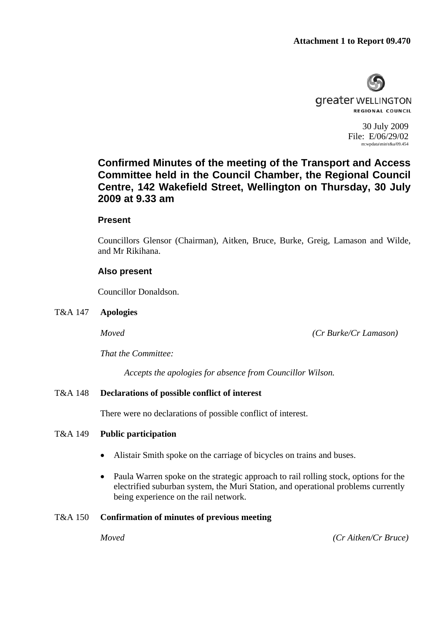

30 July 2009 File: E/06/29/02 m:wpdata\min\t&a/09.454

# **Confirmed Minutes of the meeting of the Transport and Access Committee held in the Council Chamber, the Regional Council Centre, 142 Wakefield Street, Wellington on Thursday, 30 July 2009 at 9.33 am**

# **Present**

Councillors Glensor (Chairman), Aitken, Bruce, Burke, Greig, Lamason and Wilde, and Mr Rikihana.

# **Also present**

Councillor Donaldson.

T&A 147 **Apologies** 

*Moved (Cr Burke/Cr Lamason)* 

*That the Committee:* 

*Accepts the apologies for absence from Councillor Wilson.* 

# T&A 148 **Declarations of possible conflict of interest**

There were no declarations of possible conflict of interest.

# T&A 149 **Public participation**

- Alistair Smith spoke on the carriage of bicycles on trains and buses.
- Paula Warren spoke on the strategic approach to rail rolling stock, options for the electrified suburban system, the Muri Station, and operational problems currently being experience on the rail network.

## T&A 150 **Confirmation of minutes of previous meeting**

*Moved (Cr Aitken/Cr Bruce)*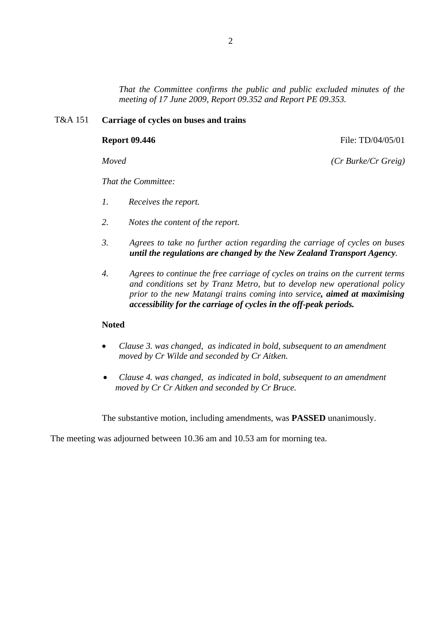*That the Committee confirms the public and public excluded minutes of the meeting of 17 June 2009, Report 09.352 and Report PE 09.353.* 

### T&A 151 **Carriage of cycles on buses and trains**

**Report 09.446 File: TD/04/05/01** 

*Moved (Cr Burke/Cr Greig)*

*That the Committee:* 

- *1. Receives the report.*
- *2. Notes the content of the report.*
- *3. Agrees to take no further action regarding the carriage of cycles on buses until the regulations are changed by the New Zealand Transport Agency.*
- *4. Agrees to continue the free carriage of cycles on trains on the current terms and conditions set by Tranz Metro, but to develop new operational policy prior to the new Matangi trains coming into service, aimed at maximising accessibility for the carriage of cycles in the off-peak periods.*

### **Noted**

- *Clause 3. was changed, as indicated in bold, subsequent to an amendment moved by Cr Wilde and seconded by Cr Aitken.*
- *Clause 4. was changed, as indicated in bold, subsequent to an amendment moved by Cr Cr Aitken and seconded by Cr Bruce.*

The substantive motion, including amendments, was **PASSED** unanimously.

The meeting was adjourned between 10.36 am and 10.53 am for morning tea.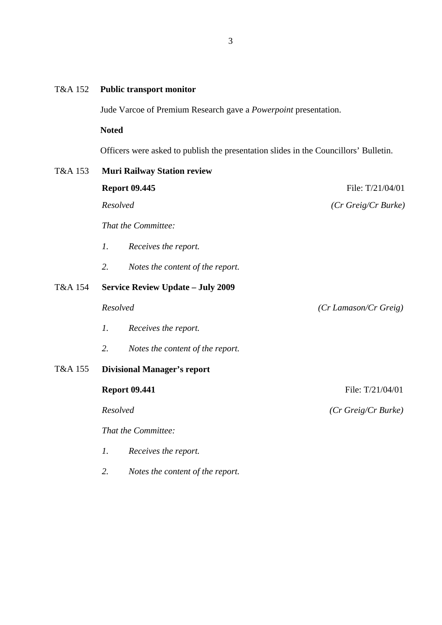# T&A 152 **Public transport monitor**

Jude Varcoe of Premium Research gave a *Powerpoint* presentation.

**Noted** 

Officers were asked to publish the presentation slides in the Councillors' Bulletin.

| T&A 153 | <b>Muri Railway Station review</b>       |                                  |                                      |  |
|---------|------------------------------------------|----------------------------------|--------------------------------------|--|
|         | <b>Report 09.445</b>                     |                                  | File: T/21/04/01                     |  |
|         | Resolved                                 |                                  | $(Cr \text{ Greig}/Cr \text{Burke})$ |  |
|         |                                          | That the Committee:              |                                      |  |
|         | $\mathcal{I}$ .                          | Receives the report.             |                                      |  |
|         | 2.                                       | Notes the content of the report. |                                      |  |
| T&A 154 | <b>Service Review Update - July 2009</b> |                                  |                                      |  |
|         | Resolved                                 |                                  | (Cr Lamason/Cr Greig)                |  |
|         | $\mathcal{I}$ .                          | Receives the report.             |                                      |  |
|         | 2.                                       | Notes the content of the report. |                                      |  |
| T&A 155 | <b>Divisional Manager's report</b>       |                                  |                                      |  |
|         | <b>Report 09.441</b>                     |                                  | File: T/21/04/01                     |  |
|         | Resolved                                 |                                  | $(Cr \text{ Greig}/Cr \text{Burke})$ |  |
|         | That the Committee:                      |                                  |                                      |  |
|         | 1.                                       | Receives the report.             |                                      |  |

3

*2. Notes the content of the report.*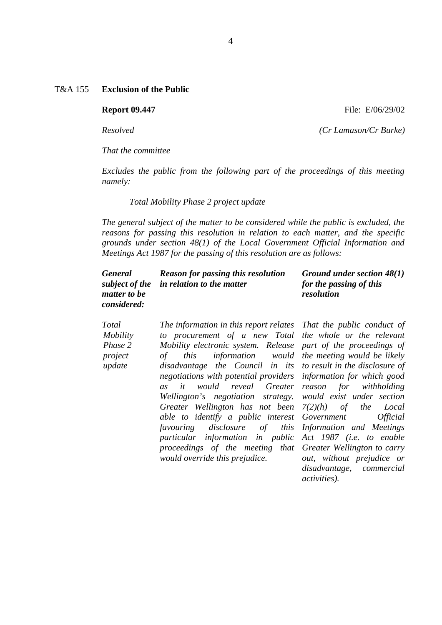*That the committee* 

*Excludes the public from the following part of the proceedings of this meeting namely:* 

 *Total Mobility Phase 2 project update* 

*The general subject of the matter to be considered while the public is excluded, the reasons for passing this resolution in relation to each matter, and the specific grounds under section 48(1) of the Local Government Official Information and Meetings Act 1987 for the passing of this resolution are as follows:* 

| <b>General</b>     | <b>Reason for passing this resolution</b> | Ground under section 48(1) |
|--------------------|-------------------------------------------|----------------------------|
|                    | subject of the in relation to the matter  | for the passing of this    |
| matter to be       |                                           | resolution                 |
| <i>considered:</i> |                                           |                            |

| Total    | The information in this report relates |  |
|----------|----------------------------------------|--|
| Mobility | to procurement of a new Total          |  |
| Phase 2  | Mobility electronic system. Release    |  |
| project  | of this information would              |  |
| update   | disadvantage the Council in its        |  |
|          | negotiations with potential providers  |  |
|          | as it would reveal Greater             |  |
|          | Wellington's negotiation strategy.     |  |
|          | Greater Wellington has not been        |  |
|          | able to identify a public interest     |  |
|          | favouring disclosure of this           |  |
|          | particular information in public       |  |
|          | proceedings of the meeting that        |  |
|          | would override this prejudice.         |  |

*That the public conduct of the whole or the relevant part of the proceedings of the meeting would be likely to result in the disclosure of information for which good reason for withholding would exist under section 7(2)(h) of the Local Government Official Information and Meetings Act 1987 (i.e. to enable Greater Wellington to carry out, without prejudice or disadvantage, commercial activities).* 

**Report 09.447** File: E/06/29/02

*Resolved (Cr Lamason/Cr Burke)*